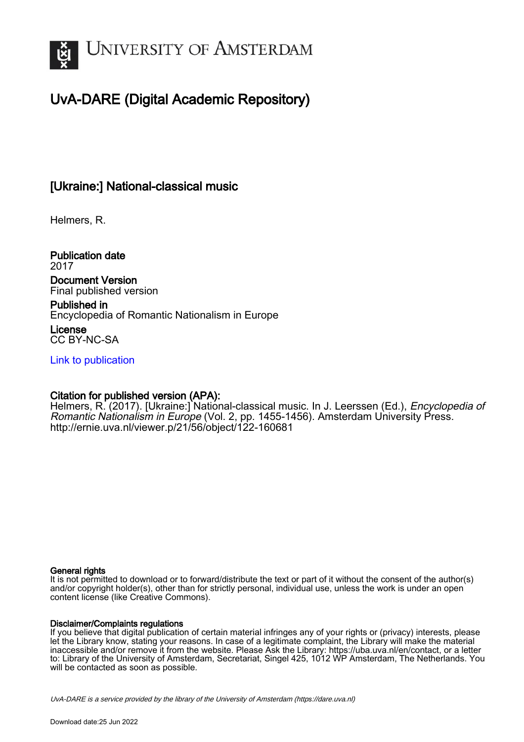

# UvA-DARE (Digital Academic Repository)

## [Ukraine:] National-classical music

Helmers, R.

Publication date 2017

Document Version Final published version

Published in Encyclopedia of Romantic Nationalism in Europe License

CC BY-NC-SA

[Link to publication](https://dare.uva.nl/personal/pure/en/publications/ukraine-nationalclassical-music(49d9a88d-74cf-43d5-a6f6-d700866b1a9b).html)

### Citation for published version (APA):

Helmers, R. (2017). [Ukraine:] National-classical music. In J. Leerssen (Ed.), *Encyclopedia of* Romantic Nationalism in Europe (Vol. 2, pp. 1455-1456). Amsterdam University Press. <http://ernie.uva.nl/viewer.p/21/56/object/122-160681>

#### General rights

It is not permitted to download or to forward/distribute the text or part of it without the consent of the author(s) and/or copyright holder(s), other than for strictly personal, individual use, unless the work is under an open content license (like Creative Commons).

#### Disclaimer/Complaints regulations

If you believe that digital publication of certain material infringes any of your rights or (privacy) interests, please let the Library know, stating your reasons. In case of a legitimate complaint, the Library will make the material inaccessible and/or remove it from the website. Please Ask the Library: https://uba.uva.nl/en/contact, or a letter to: Library of the University of Amsterdam, Secretariat, Singel 425, 1012 WP Amsterdam, The Netherlands. You will be contacted as soon as possible.

UvA-DARE is a service provided by the library of the University of Amsterdam (http*s*://dare.uva.nl)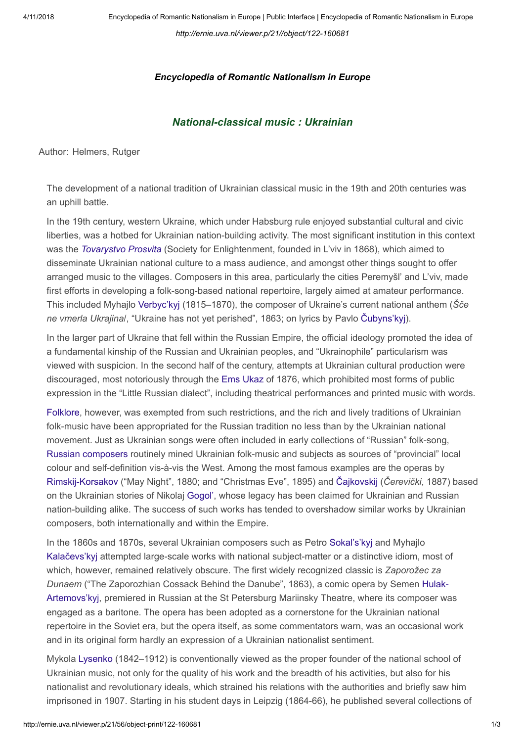http://ernie.uva.nl/viewer.p/21//object/122-160681

#### Encyclopedia of Romantic Nationalism in Europe

#### National-classical music : Ukrainian

Author: Helmers, Rutger

The development of a national tradition of Ukrainian classical music in the 19th and 20th centuries was an uphill battle.

In the 19th century, western Ukraine, which under Habsburg rule enjoyed substantial cultural and civic liberties, was a hotbed for Ukrainian nation-building activity. The most significant institution in this context was the Tovarystvo Prosvita (Society for Enlightenment, founded in L'viv in 1868), which aimed to disseminate Ukrainian national culture to a mass audience, and amongst other things sought to offer arranged music to the villages. Composers in this area, particularly the cities Peremyšl' and L'viv, made first efforts in developing a folk-song-based national repertoire, largely aimed at amateur performance. This included Myhajlo Verbyc'kyj (1815–1870), the composer of Ukraine's current national anthem (Šče ne vmerla Ukrajina/, "Ukraine has not yet perished", 1863; on lyrics by Pavlo Čubyns'kyj).

In the larger part of Ukraine that fell within the Russian Empire, the official ideology promoted the idea of a fundamental kinship of the Russian and Ukrainian peoples, and "Ukrainophile" particularism was viewed with suspicion. In the second half of the century, attempts at Ukrainian cultural production were discouraged, most notoriously through the Ems Ukaz of 1876, which prohibited most forms of public expression in the "Little Russian dialect", including theatrical performances and printed music with words.

Folklore, however, was exempted from such restrictions, and the rich and lively traditions of Ukrainian folk-music have been appropriated for the Russian tradition no less than by the Ukrainian national movement. Just as Ukrainian songs were often included in early collections of "Russian" folk-song, Russian composers routinely mined Ukrainian folk-music and subjects as sources of "provincial" local colour and self-definition vis-à-vis the West. Among the most famous examples are the operas by Rimskij-Korsakov ("May Night", 1880; and "Christmas Eve", 1895) and Čajkovskij (Čerevički, 1887) based on the Ukrainian stories of Nikolaj Gogol', whose legacy has been claimed for Ukrainian and Russian nation-building alike. The success of such works has tended to overshadow similar works by Ukrainian composers, both internationally and within the Empire.

In the 1860s and 1870s, several Ukrainian composers such as Petro Sokal's'kyj and Myhajlo Kalačevs'kyj attempted large-scale works with national subject-matter or a distinctive idiom, most of which, however, remained relatively obscure. The first widely recognized classic is Zaporožec za Dunaem ("The Zaporozhian Cossack Behind the Danube", 1863), a comic opera by Semen Hulak-Artemovs'kyj, premiered in Russian at the St Petersburg Mariinsky Theatre, where its composer was engaged as a baritone. The opera has been adopted as a cornerstone for the Ukrainian national repertoire in the Soviet era, but the opera itself, as some commentators warn, was an occasional work and in its original form hardly an expression of a Ukrainian nationalist sentiment.

Mykola Lysenko (1842–1912) is conventionally viewed as the proper founder of the national school of Ukrainian music, not only for the quality of his work and the breadth of his activities, but also for his nationalist and revolutionary ideals, which strained his relations with the authorities and briefly saw him imprisoned in 1907. Starting in his student days in Leipzig (1864-66), he published several collections of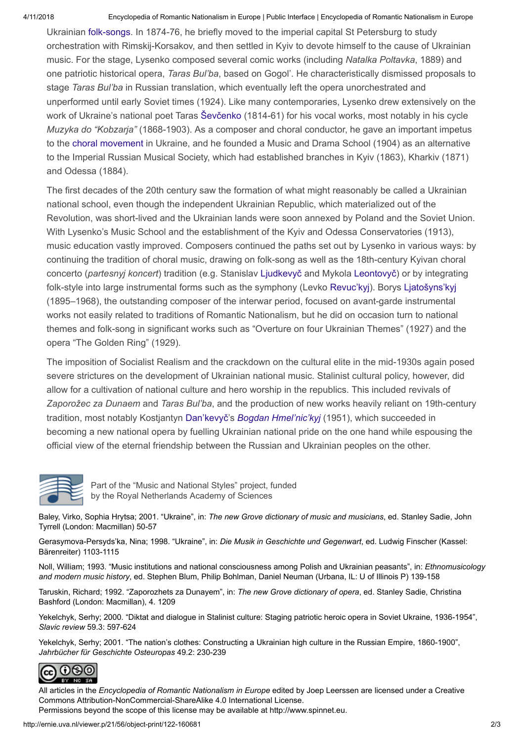4/11/2018 Encyclopedia of Romantic Nationalism in Europe | Public Interface | Encyclopedia of Romantic Nationalism in Europe

Ukrainian folk-songs. In 1874-76, he briefly moved to the imperial capital St Petersburg to study orchestration with Rimskij-Korsakov, and then settled in Kyiv to devote himself to the cause of Ukrainian music. For the stage, Lysenko composed several comic works (including Natalka Poltavka, 1889) and one patriotic historical opera, Taras Bul'ba, based on Gogol'. He characteristically dismissed proposals to stage Taras Bul'ba in Russian translation, which eventually left the opera unorchestrated and unperformed until early Soviet times (1924). Like many contemporaries, Lysenko drew extensively on the work of Ukraine's national poet Taras Ševčenko (1814-61) for his vocal works, most notably in his cycle Muzyka do "Kobzarja" (1868-1903). As a composer and choral conductor, he gave an important impetus to the choral movement in Ukraine, and he founded a Music and Drama School (1904) as an alternative to the Imperial Russian Musical Society, which had established branches in Kyiv (1863), Kharkiv (1871) and Odessa (1884).

The first decades of the 20th century saw the formation of what might reasonably be called a Ukrainian national school, even though the independent Ukrainian Republic, which materialized out of the Revolution, was short-lived and the Ukrainian lands were soon annexed by Poland and the Soviet Union. With Lysenko's Music School and the establishment of the Kyiv and Odessa Conservatories (1913), music education vastly improved. Composers continued the paths set out by Lysenko in various ways: by continuing the tradition of choral music, drawing on folk-song as well as the 18th-century Kyivan choral concerto (partesnyj koncert) tradition (e.g. Stanislav Ljudkevyč and Mykola Leontovyč) or by integrating folk-style into large instrumental forms such as the symphony (Levko Revuc'kyj). Borys Ljatošyns'kyj (1895–1968), the outstanding composer of the interwar period, focused on avant-garde instrumental works not easily related to traditions of Romantic Nationalism, but he did on occasion turn to national themes and folk-song in significant works such as "Overture on four Ukrainian Themes" (1927) and the opera "The Golden Ring" (1929).

The imposition of Socialist Realism and the crackdown on the cultural elite in the mid-1930s again posed severe strictures on the development of Ukrainian national music. Stalinist cultural policy, however, did allow for a cultivation of national culture and hero worship in the republics. This included revivals of Zaporožec za Dunaem and Taras Bul'ba, and the production of new works heavily reliant on 19th-century tradition, most notably Kostjantyn Dan'kevyč's Bogdan Hmel'nic'kyj (1951), which succeeded in becoming a new national opera by fuelling Ukrainian national pride on the one hand while espousing the official view of the eternal friendship between the Russian and Ukrainian peoples on the other.



Part of the "Music and National Styles" project, funded by the Royal Netherlands Academy of Sciences

Baley, Virko, Sophia Hrytsa; 2001. "Ukraine", in: The new Grove dictionary of music and musicians, ed. Stanley Sadie, John Tyrrell (London: Macmillan) 50-57

Gerasymova-Persyds'ka, Nina; 1998. "Ukraine", in: Die Musik in Geschichte und Gegenwart, ed. Ludwig Finscher (Kassel: Bärenreiter) 1103-1115

Noll, William; 1993. "Music institutions and national consciousness among Polish and Ukrainian peasants", in: Ethnomusicology and modern music history, ed. Stephen Blum, Philip Bohlman, Daniel Neuman (Urbana, IL: U of Illinois P) 139-158

Taruskin, Richard; 1992. "Zaporozhets za Dunayem", in: The new Grove dictionary of opera, ed. Stanley Sadie, Christina Bashford (London: Macmillan), 4. 1209

Yekelchyk, Serhy; 2000. "Diktat and dialogue in Stalinist culture: Staging patriotic heroic opera in Soviet Ukraine, 1936-1954", Slavic review 59.3: 597-624

Yekelchyk, Serhy: 2001. "The nation's clothes: Constructing a Ukrainian high culture in the Russian Empire, 1860-1900". Jahrbücher für Geschichte Osteuropas 49.2: 230-239



All articles in the Encyclopedia of Romantic Nationalism in Europe edited by [Joep Leerssen](http://www.romanticnationalism.net/) are licensed under a Creative [Commons Attribution-NonCommercial-ShareAlike 4.0 International License.](http://creativecommons.org/licenses/by-nc-sa/4.0/)

Permissions beyond the scope of this license may be available at [http://www.spinnet.eu.](http://www.spinnet.eu/)